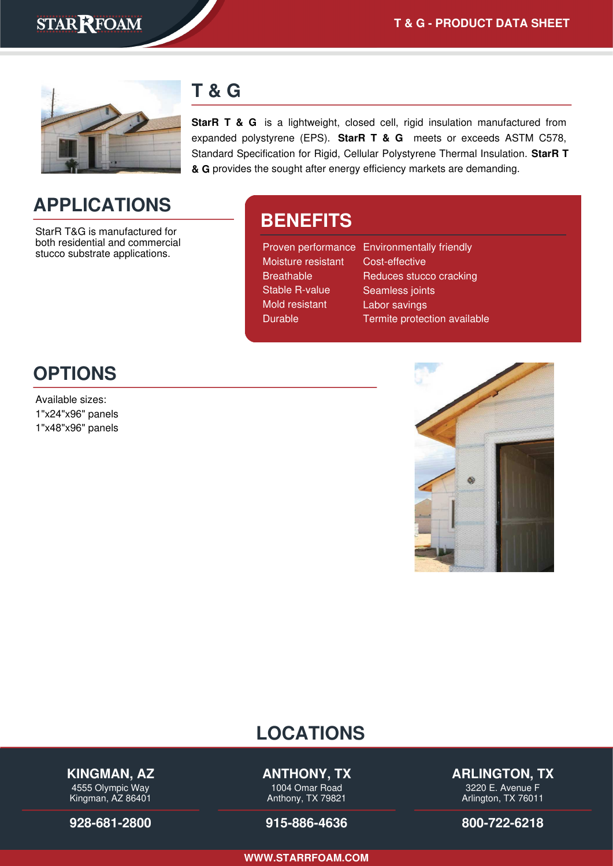

### **T & G**

**StarR T & G** is a lightweight, closed cell, rigid insulation manufactured from expanded polystyrene (EPS). **StarR T & G** meets or exceeds ASTM C578, Standard Specification for Rigid, Cellular Polystyrene Thermal Insulation. **StarR T & G** provides the sought after energy efficiency markets are demanding.

# **APPLICATIONS**

StarR T&G is manufactured for both residential and commercial stucco substrate applications.

## **BENEFITS**

| Proven performance Environmentally friendly |
|---------------------------------------------|
| Cost-effective                              |
| Reduces stucco cracking                     |
| Seamless joints                             |
| Labor savings                               |
| Termite protection available                |
|                                             |

### **OPTIONS**

Available sizes: 1"x24"x96" panels 1"x48"x96" panels



### **LOCATIONS**

#### **KINGMAN, AZ**

4555 Olympic Way Kingman, AZ 86401

**[928-681-2800](tel:928-681-2800)**

#### **ANTHONY, TX**

1004 Omar Road Anthony, TX 79821

#### **[915-886-4636](tel:915-886-4636)**

**ARLINGTON, TX**

3220 E. Avenue F Arlington, TX 76011

**[800-722-6218](tel:800-722-6218)**

**[WWW.STARRFOAM.COM](https://starrfoam.com/)**